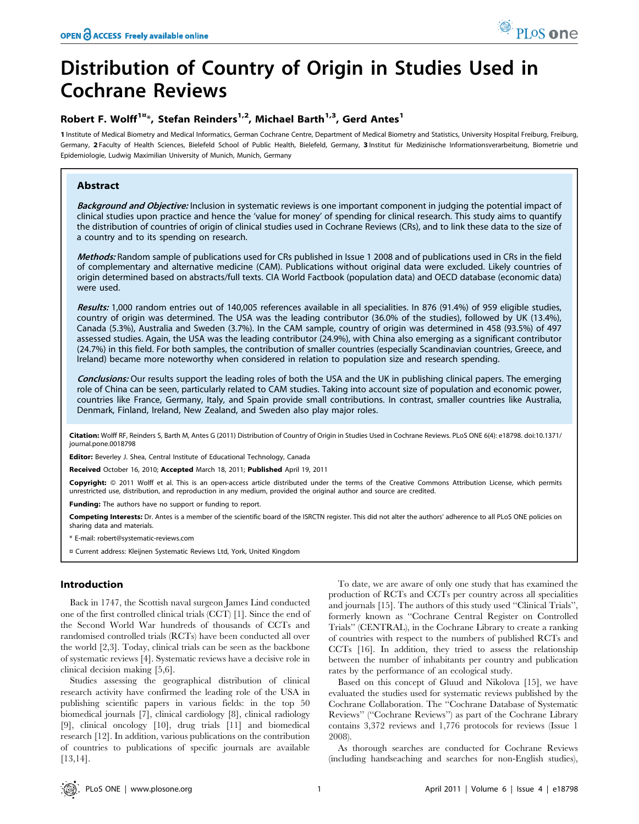# Distribution of Country of Origin in Studies Used in Cochrane Reviews

# Robert F. Wolff<sup>1 $x$ \*</sup>, Stefan Reinders<sup>1,2</sup>, Michael Barth<sup>1,3</sup>, Gerd Antes<sup>1</sup>

1 Institute of Medical Biometry and Medical Informatics, German Cochrane Centre, Department of Medical Biometry and Statistics, University Hospital Freiburg, Freiburg, Freiburg, Germany, 2 Faculty of Health Sciences, Bielefeld School of Public Health, Bielefeld, Germany, 3 Institut für Medizinische Informationsverarbeitung, Biometrie und Epidemiologie, Ludwig Maximilian University of Munich, Munich, Germany

# Abstract

Background and Objective: Inclusion in systematic reviews is one important component in judging the potential impact of clinical studies upon practice and hence the 'value for money' of spending for clinical research. This study aims to quantify the distribution of countries of origin of clinical studies used in Cochrane Reviews (CRs), and to link these data to the size of a country and to its spending on research.

Methods: Random sample of publications used for CRs published in Issue 1 2008 and of publications used in CRs in the field of complementary and alternative medicine (CAM). Publications without original data were excluded. Likely countries of origin determined based on abstracts/full texts. CIA World Factbook (population data) and OECD database (economic data) were used.

Results: 1,000 random entries out of 140,005 references available in all specialities. In 876 (91.4%) of 959 eligible studies, country of origin was determined. The USA was the leading contributor (36.0% of the studies), followed by UK (13.4%), Canada (5.3%), Australia and Sweden (3.7%). In the CAM sample, country of origin was determined in 458 (93.5%) of 497 assessed studies. Again, the USA was the leading contributor (24.9%), with China also emerging as a significant contributor (24.7%) in this field. For both samples, the contribution of smaller countries (especially Scandinavian countries, Greece, and Ireland) became more noteworthy when considered in relation to population size and research spending.

Conclusions: Our results support the leading roles of both the USA and the UK in publishing clinical papers. The emerging role of China can be seen, particularly related to CAM studies. Taking into account size of population and economic power, countries like France, Germany, Italy, and Spain provide small contributions. In contrast, smaller countries like Australia, Denmark, Finland, Ireland, New Zealand, and Sweden also play major roles.

Citation: Wolff RF, Reinders S, Barth M, Antes G (2011) Distribution of Country of Origin in Studies Used in Cochrane Reviews. PLoS ONE 6(4): e18798. doi:10.1371/ journal.pone.0018798

Editor: Beverley J. Shea, Central Institute of Educational Technology, Canada

Received October 16, 2010; Accepted March 18, 2011; Published April 19, 2011

Copyright: © 2011 Wolff et al. This is an open-access article distributed under the terms of the Creative Commons Attribution License, which permits unrestricted use, distribution, and reproduction in any medium, provided the original author and source are credited.

Funding: The authors have no support or funding to report.

Competing Interests: Dr. Antes is a member of the scientific board of the ISRCTN register. This did not alter the authors' adherence to all PLoS ONE policies on sharing data and materials.

\* E-mail: robert@systematic-reviews.com

¤ Current address: Kleijnen Systematic Reviews Ltd, York, United Kingdom

# Introduction

Back in 1747, the Scottish naval surgeon James Lind conducted one of the first controlled clinical trials (CCT) [1]. Since the end of the Second World War hundreds of thousands of CCTs and randomised controlled trials (RCTs) have been conducted all over the world [2,3]. Today, clinical trials can be seen as the backbone of systematic reviews [4]. Systematic reviews have a decisive role in clinical decision making [5,6].

Studies assessing the geographical distribution of clinical research activity have confirmed the leading role of the USA in publishing scientific papers in various fields: in the top 50 biomedical journals [7], clinical cardiology [8], clinical radiology [9], clinical oncology [10], drug trials [11] and biomedical research [12]. In addition, various publications on the contribution of countries to publications of specific journals are available [13,14].

To date, we are aware of only one study that has examined the production of RCTs and CCTs per country across all specialities and journals [15]. The authors of this study used ''Clinical Trials'', formerly known as ''Cochrane Central Register on Controlled Trials'' (CENTRAL), in the Cochrane Library to create a ranking of countries with respect to the numbers of published RCTs and CCTs [16]. In addition, they tried to assess the relationship between the number of inhabitants per country and publication rates by the performance of an ecological study.

Based on this concept of Gluud and Nikolova [15], we have evaluated the studies used for systematic reviews published by the Cochrane Collaboration. The ''Cochrane Database of Systematic Reviews'' (''Cochrane Reviews'') as part of the Cochrane Library contains 3,372 reviews and 1,776 protocols for reviews (Issue 1 2008).

As thorough searches are conducted for Cochrane Reviews (including handseaching and searches for non-English studies),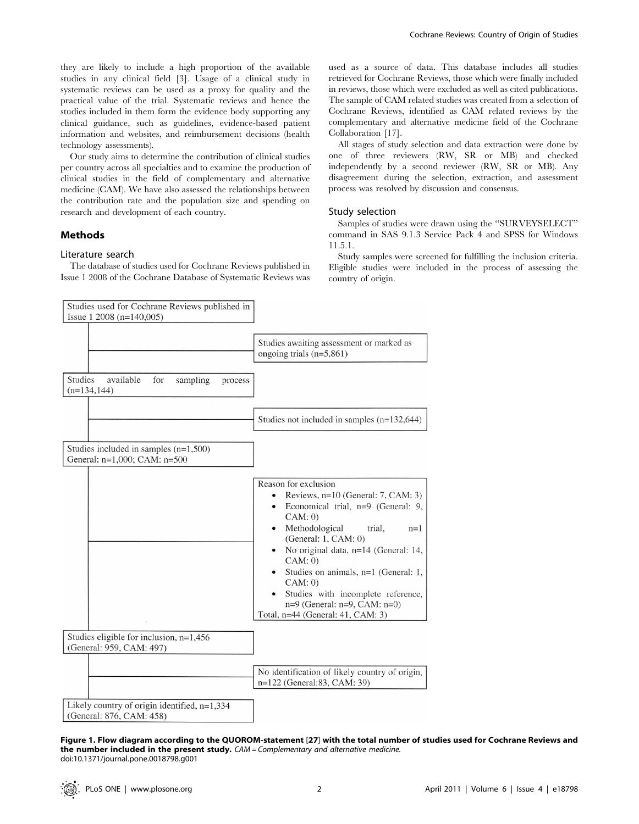Our study aims to determine the contribution of clinical studies per country across all specialties and to examine the production of clinical studies in the field of complementary and alternative medicine (CAM). We have also assessed the relationships between the contribution rate and the population size and spending on research and development of each country.

# Methods

#### Literature search

The database of studies used for Cochrane Reviews published in Issue 1 2008 of the Cochrane Database of Systematic Reviews was used as a source of data. This database includes all studies retrieved for Cochrane Reviews, those which were finally included in reviews, those which were excluded as well as cited publications. The sample of CAM related studies was created from a selection of Cochrane Reviews, identified as CAM related reviews by the complementary and alternative medicine field of the Cochrane Collaboration [17].

All stages of study selection and data extraction were done by one of three reviewers (RW, SR or MB) and checked independently by a second reviewer (RW, SR or MB). Any disagreement during the selection, extraction, and assessment process was resolved by discussion and consensus.

#### Study selection

Samples of studies were drawn using the ''SURVEYSELECT'' command in SAS 9.1.3 Service Pack 4 and SPSS for Windows 11.5.1.

Study samples were screened for fulfilling the inclusion criteria. Eligible studies were included in the process of assessing the country of origin.

| Studies used for Cochrane Reviews published in                             |                                                                                                                                                                                                                                                                                                                                                                                                                       |
|----------------------------------------------------------------------------|-----------------------------------------------------------------------------------------------------------------------------------------------------------------------------------------------------------------------------------------------------------------------------------------------------------------------------------------------------------------------------------------------------------------------|
| Issue $1\ 2008$ (n=140,005)                                                |                                                                                                                                                                                                                                                                                                                                                                                                                       |
|                                                                            | Studies awaiting assessment or marked as<br>ongoing trials $(n=5,861)$                                                                                                                                                                                                                                                                                                                                                |
| Studies<br>available<br>sampling<br>for<br>process<br>$(n=134, 144)$       |                                                                                                                                                                                                                                                                                                                                                                                                                       |
|                                                                            | Studies not included in samples $(n=132,644)$                                                                                                                                                                                                                                                                                                                                                                         |
| Studies included in samples $(n=1,500)$<br>General: n=1,000; CAM: n=500    |                                                                                                                                                                                                                                                                                                                                                                                                                       |
|                                                                            | Reason for exclusion<br>Reviews, $n=10$ (General: 7, CAM: 3)<br>$\bullet$<br>Economical trial, $n=9$ (General: 9,<br>CAM: 0)<br>Methodological<br>trial.<br>$n=1$<br>(General: $1, CAM: 0$ )<br>No original data, n=14 (General: 14,<br>CAM: 0)<br>Studies on animals, n=1 (General: 1,<br>CAM: 0)<br>Studies with incomplete reference,<br>$n=9$ (General: $n=9$ , CAM: $n=0$ )<br>Total, n=44 (General: 41, CAM: 3) |
| Studies eligible for inclusion, n=1,456<br>(General: 959, CAM: 497)        |                                                                                                                                                                                                                                                                                                                                                                                                                       |
|                                                                            | No identification of likely country of origin,<br>n=122 (General:83, CAM: 39)                                                                                                                                                                                                                                                                                                                                         |
| Likely country of origin identified, $n=1,334$<br>(General: 876, CAM: 458) |                                                                                                                                                                                                                                                                                                                                                                                                                       |

Figure 1. Flow diagram according to the QUOROM-statement [27] with the total number of studies used for Cochrane Reviews and the number included in the present study. CAM = Complementary and alternative medicine. doi:10.1371/journal.pone.0018798.g001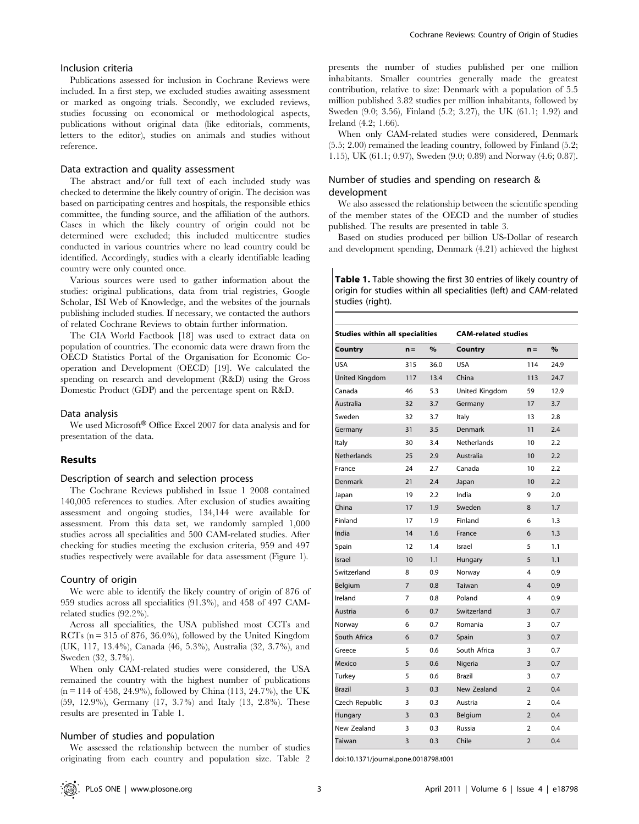# Inclusion criteria

Publications assessed for inclusion in Cochrane Reviews were included. In a first step, we excluded studies awaiting assessment or marked as ongoing trials. Secondly, we excluded reviews, studies focussing on economical or methodological aspects, publications without original data (like editorials, comments, letters to the editor), studies on animals and studies without reference.

#### Data extraction and quality assessment

The abstract and/or full text of each included study was checked to determine the likely country of origin. The decision was based on participating centres and hospitals, the responsible ethics committee, the funding source, and the affiliation of the authors. Cases in which the likely country of origin could not be determined were excluded; this included multicentre studies conducted in various countries where no lead country could be identified. Accordingly, studies with a clearly identifiable leading country were only counted once.

Various sources were used to gather information about the studies: original publications, data from trial registries, Google Scholar, ISI Web of Knowledge, and the websites of the journals publishing included studies. If necessary, we contacted the authors of related Cochrane Reviews to obtain further information.

The CIA World Factbook [18] was used to extract data on population of countries. The economic data were drawn from the OECD Statistics Portal of the Organisation for Economic Cooperation and Development (OECD) [19]. We calculated the spending on research and development (R&D) using the Gross Domestic Product (GDP) and the percentage spent on R&D.

#### Data analysis

We used Microsoft® Office Excel 2007 for data analysis and for presentation of the data.

## Results

## Description of search and selection process

The Cochrane Reviews published in Issue 1 2008 contained 140,005 references to studies. After exclusion of studies awaiting assessment and ongoing studies, 134,144 were available for assessment. From this data set, we randomly sampled 1,000 studies across all specialities and 500 CAM-related studies. After checking for studies meeting the exclusion criteria, 959 and 497 studies respectively were available for data assessment (Figure 1).

## Country of origin

We were able to identify the likely country of origin of 876 of 959 studies across all specialities (91.3%), and 458 of 497 CAMrelated studies (92.2%).

Across all specialities, the USA published most CCTs and RCTs ( $n = 315$  of 876, 36.0%), followed by the United Kingdom (UK, 117, 13.4%), Canada (46, 5.3%), Australia (32, 3.7%), and Sweden (32, 3.7%).

When only CAM-related studies were considered, the USA remained the country with the highest number of publications  $(n = 114 \text{ of } 458, 24.9\%)$ , followed by China (113, 24.7%), the UK (59, 12.9%), Germany (17, 3.7%) and Italy (13, 2.8%). These results are presented in Table 1.

#### Number of studies and population

We assessed the relationship between the number of studies originating from each country and population size. Table 2 presents the number of studies published per one million inhabitants. Smaller countries generally made the greatest contribution, relative to size: Denmark with a population of 5.5 million published 3.82 studies per million inhabitants, followed by Sweden (9.0; 3.56), Finland (5.2; 3.27), the UK (61.1; 1.92) and Ireland (4.2; 1.66).

When only CAM-related studies were considered, Denmark (5.5; 2.00) remained the leading country, followed by Finland (5.2; 1.15), UK (61.1; 0.97), Sweden (9.0; 0.89) and Norway (4.6; 0.87).

# Number of studies and spending on research & development

We also assessed the relationship between the scientific spending of the member states of the OECD and the number of studies published. The results are presented in table 3.

Based on studies produced per billion US-Dollar of research and development spending, Denmark (4.21) achieved the highest

| <b>Table 1.</b> Table showing the first 30 entries of likely country of |
|-------------------------------------------------------------------------|
| origin for studies within all specialities (left) and CAM-related       |
| studies (right).                                                        |

| <b>Studies within all specialities</b> |                | <b>CAM-related studies</b> |                    |                |      |
|----------------------------------------|----------------|----------------------------|--------------------|----------------|------|
| Country                                | $n =$          | $\%$                       | Country            | $n =$          | $\%$ |
| <b>USA</b>                             | 315            | 36.0                       | <b>USA</b>         | 114            | 24.9 |
| United Kingdom                         | 117            | 13.4                       | China              | 113            | 24.7 |
| Canada                                 | 46             | 5.3                        | United Kingdom     | 59             | 12.9 |
| Australia                              | 32             | 3.7                        | Germany            | 17             | 3.7  |
| Sweden                                 | 32             | 3.7                        | Italy              | 13             | 2.8  |
| Germany                                | 31             | 3.5                        | Denmark            | 11             | 2.4  |
| Italy                                  | 30             | 3.4                        | <b>Netherlands</b> | 10             | 22   |
| <b>Netherlands</b>                     | 25             | 2.9                        | Australia          | 10             | 22   |
| France                                 | 24             | 2.7                        | Canada             | 10             | 2.2  |
| Denmark                                | 21             | 2.4                        | Japan              | 10             | 2.2  |
| Japan                                  | 19             | 2.2                        | India              | 9              | 2.0  |
| China                                  | 17             | 1.9                        | Sweden             | 8              | 1.7  |
| Finland                                | 17             | 1.9                        | Finland            | 6              | 1.3  |
| India                                  | 14             | 1.6                        | France             | 6              | 1.3  |
| Spain                                  | 12             | 1.4                        | Israel             | 5              | 1.1  |
| <b>Israel</b>                          | 10             | 1.1                        | Hungary            | 5              | 1.1  |
| Switzerland                            | 8              | 0.9                        | Norway             | 4              | 0.9  |
| Belgium                                | $\overline{7}$ | 0.8                        | Taiwan             | 4              | 0.9  |
| Ireland                                | 7              | 0.8                        | Poland             | 4              | 0.9  |
| Austria                                | 6              | 0.7                        | Switzerland        | 3              | 0.7  |
| Norway                                 | 6              | 0.7                        | Romania            | 3              | 0.7  |
| South Africa                           | 6              | 0.7                        | Spain              | 3              | 0.7  |
| Greece                                 | 5              | 0.6                        | South Africa       | 3              | 0.7  |
| Mexico                                 | 5              | 0.6                        | Nigeria            | 3              | 0.7  |
| Turkey                                 | 5              | 0.6                        | Brazil             | 3              | 0.7  |
| <b>Brazil</b>                          | 3              | 0.3                        | New Zealand        | $\overline{2}$ | 0.4  |
| Czech Republic                         | 3              | 0.3                        | Austria            | $\overline{2}$ | 0.4  |
| Hungary                                | 3              | 0.3                        | Belgium            | $\overline{2}$ | 0.4  |
| New Zealand                            | 3              | 0.3                        | Russia             | $\overline{2}$ | 0.4  |
| Taiwan                                 | 3              | 0.3                        | Chile              | $\overline{2}$ | 0.4  |

doi:10.1371/journal.pone.0018798.t001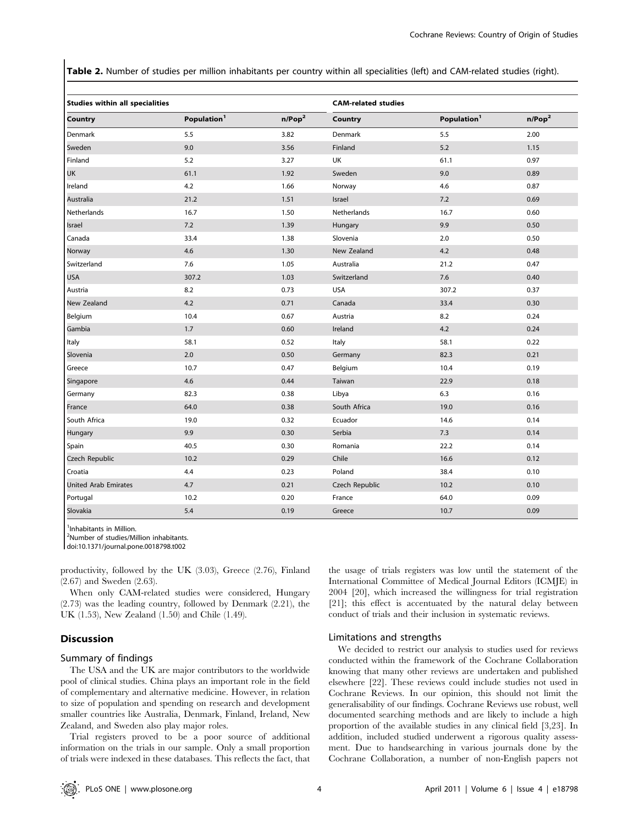Table 2. Number of studies per million inhabitants per country within all specialities (left) and CAM-related studies (right).

| <b>Studies within all specialities</b> |                         |                    | <b>CAM-related studies</b> |                         |                    |
|----------------------------------------|-------------------------|--------------------|----------------------------|-------------------------|--------------------|
| Country                                | Population <sup>1</sup> | n/Pop <sup>2</sup> | Country                    | Population <sup>1</sup> | n/Pop <sup>2</sup> |
| Denmark                                | 5.5                     | 3.82               | Denmark                    | 5.5                     | 2.00               |
| Sweden                                 | 9.0                     | 3.56               | Finland                    | 5.2                     | 1.15               |
| Finland                                | 5.2                     | 3.27               | UK                         | 61.1                    | 0.97               |
| <b>UK</b>                              | 61.1                    | 1.92               | Sweden                     | 9.0                     | 0.89               |
| Ireland                                | 4.2                     | 1.66               | Norway                     | 4.6                     | 0.87               |
| Australia                              | 21.2                    | 1.51               | Israel                     | $7.2$                   | 0.69               |
| Netherlands                            | 16.7                    | 1.50               | Netherlands                | 16.7                    | 0.60               |
| Israel                                 | 7.2                     | 1.39               | Hungary                    | 9.9                     | 0.50               |
| Canada                                 | 33.4                    | 1.38               | Slovenia                   | 2.0                     | 0.50               |
| Norway                                 | 4.6                     | 1.30               | New Zealand                | 4.2                     | 0.48               |
| Switzerland                            | 7.6                     | 1.05               | Australia                  | 21.2                    | 0.47               |
| <b>USA</b>                             | 307.2                   | 1.03               | Switzerland                | 7.6                     | 0.40               |
| Austria                                | 8.2                     | 0.73               | <b>USA</b>                 | 307.2                   | 0.37               |
| New Zealand                            | 4.2                     | 0.71               | Canada                     | 33.4                    | 0.30               |
| Belgium                                | 10.4                    | 0.67               | Austria                    | 8.2                     | 0.24               |
| Gambia                                 | 1.7                     | 0.60               | Ireland                    | 4.2                     | 0.24               |
| Italy                                  | 58.1                    | 0.52               | Italy                      | 58.1                    | 0.22               |
| Slovenia                               | 2.0                     | 0.50               | Germany                    | 82.3                    | 0.21               |
| Greece                                 | 10.7                    | 0.47               | Belgium                    | 10.4                    | 0.19               |
| Singapore                              | 4.6                     | 0.44               | Taiwan                     | 22.9                    | 0.18               |
| Germany                                | 82.3                    | 0.38               | Libya                      | 6.3                     | 0.16               |
| France                                 | 64.0                    | 0.38               | South Africa               | 19.0                    | 0.16               |
| South Africa                           | 19.0                    | 0.32               | Ecuador                    | 14.6                    | 0.14               |
| Hungary                                | 9.9                     | 0.30               | Serbia                     | 7.3                     | 0.14               |
| Spain                                  | 40.5                    | 0.30               | Romania                    | 22.2                    | 0.14               |
| Czech Republic                         | 10.2                    | 0.29               | Chile                      | 16.6                    | 0.12               |
| Croatia                                | 4.4                     | 0.23               | Poland                     | 38.4                    | 0.10               |
| <b>United Arab Emirates</b>            | 4.7                     | 0.21               | Czech Republic             | 10.2                    | 0.10               |
| Portugal                               | 10.2                    | 0.20               | France                     | 64.0                    | 0.09               |
| Slovakia                               | 5.4                     | 0.19               | Greece                     | 10.7                    | 0.09               |

<sup>1</sup>Inhabitants in Million.

2 Number of studies/Million inhabitants.

doi:10.1371/journal.pone.0018798.t002

productivity, followed by the UK (3.03), Greece (2.76), Finland (2.67) and Sweden (2.63).

When only CAM-related studies were considered, Hungary (2.73) was the leading country, followed by Denmark (2.21), the UK (1.53), New Zealand (1.50) and Chile (1.49).

#### **Discussion**

# Summary of findings

The USA and the UK are major contributors to the worldwide pool of clinical studies. China plays an important role in the field of complementary and alternative medicine. However, in relation to size of population and spending on research and development smaller countries like Australia, Denmark, Finland, Ireland, New Zealand, and Sweden also play major roles.

Trial registers proved to be a poor source of additional information on the trials in our sample. Only a small proportion of trials were indexed in these databases. This reflects the fact, that

the usage of trials registers was low until the statement of the International Committee of Medical Journal Editors (ICMJE) in 2004 [20], which increased the willingness for trial registration [21]; this effect is accentuated by the natural delay between conduct of trials and their inclusion in systematic reviews.

## Limitations and strengths

We decided to restrict our analysis to studies used for reviews conducted within the framework of the Cochrane Collaboration knowing that many other reviews are undertaken and published elsewhere [22]. These reviews could include studies not used in Cochrane Reviews. In our opinion, this should not limit the generalisability of our findings. Cochrane Reviews use robust, well documented searching methods and are likely to include a high proportion of the available studies in any clinical field [3,23]. In addition, included studied underwent a rigorous quality assessment. Due to handsearching in various journals done by the Cochrane Collaboration, a number of non-English papers not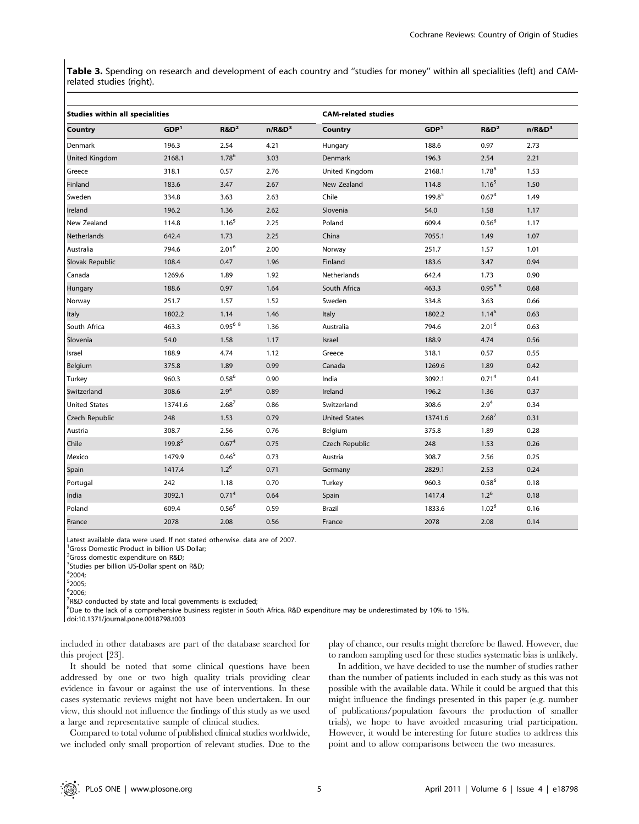Table 3. Spending on research and development of each country and "studies for money" within all specialities (left) and CAMrelated studies (right).

| <b>Studies within all specialities</b> |                    |                         | <b>CAM-related studies</b> |                      |                  |                   |           |
|----------------------------------------|--------------------|-------------------------|----------------------------|----------------------|------------------|-------------------|-----------|
| Country                                | GDP <sup>1</sup>   | $R&D^2$                 | $n/R&D^3$                  | Country              | GDP <sup>1</sup> | $R&D^2$           | $n/R&D^3$ |
| Denmark                                | 196.3              | 2.54                    | 4.21                       | Hungary              | 188.6            | 0.97              | 2.73      |
| <b>United Kingdom</b>                  | 2168.1             | $1.78^{6}$              | 3.03                       | Denmark              | 196.3            | 2.54              | 2.21      |
| Greece                                 | 318.1              | 0.57                    | 2.76                       | United Kingdom       | 2168.1           | 1.78 <sup>6</sup> | 1.53      |
| Finland                                | 183.6              | 3.47                    | 2.67                       | New Zealand          | 114.8            | 1.16 <sup>5</sup> | 1.50      |
| Sweden                                 | 334.8              | 3.63                    | 2.63                       | Chile                | 199.85           | 0.67 <sup>4</sup> | 1.49      |
| Ireland                                | 196.2              | 1.36                    | 2.62                       | Slovenia             | 54.0             | 1.58              | 1.17      |
| New Zealand                            | 114.8              | 1.16 <sup>5</sup>       | 2.25                       | Poland               | 609.4            | $0.56^{6}$        | 1.17      |
| Netherlands                            | 642.4              | 1.73                    | 2.25                       | China                | 7055.1           | 1.49              | 1.07      |
| Australia                              | 794.6              | 2.01 <sup>6</sup>       | 2.00                       | Norway               | 251.7            | 1.57              | 1.01      |
| Slovak Republic                        | 108.4              | 0.47                    | 1.96                       | Finland              | 183.6            | 3.47              | 0.94      |
| Canada                                 | 1269.6             | 1.89                    | 1.92                       | Netherlands          | 642.4            | 1.73              | 0.90      |
| Hungary                                | 188.6              | 0.97                    | 1.64                       | South Africa         | 463.3            | $0.95^{6}$ 8      | 0.68      |
| Norway                                 | 251.7              | 1.57                    | 1.52                       | Sweden               | 334.8            | 3.63              | 0.66      |
| Italy                                  | 1802.2             | 1.14                    | 1.46                       | Italy                | 1802.2           | $1.14^{6}$        | 0.63      |
| South Africa                           | 463.3              | $0.95^{6}$ <sup>8</sup> | 1.36                       | Australia            | 794.6            | 2.01 <sup>6</sup> | 0.63      |
| Slovenia                               | 54.0               | 1.58                    | 1.17                       | Israel               | 188.9            | 4.74              | 0.56      |
| Israel                                 | 188.9              | 4.74                    | 1.12                       | Greece               | 318.1            | 0.57              | 0.55      |
| Belgium                                | 375.8              | 1.89                    | 0.99                       | Canada               | 1269.6           | 1.89              | 0.42      |
| Turkey                                 | 960.3              | $0.58^{6}$              | 0.90                       | India                | 3092.1           | 0.71 <sup>4</sup> | 0.41      |
| Switzerland                            | 308.6              | 2.9 <sup>4</sup>        | 0.89                       | Ireland              | 196.2            | 1.36              | 0.37      |
| <b>United States</b>                   | 13741.6            | $2.68^{7}$              | 0.86                       | Switzerland          | 308.6            | $2.9^{4}$         | 0.34      |
| Czech Republic                         | 248                | 1.53                    | 0.79                       | <b>United States</b> | 13741.6          | $2.68^{7}$        | 0.31      |
| Austria                                | 308.7              | 2.56                    | 0.76                       | Belgium              | 375.8            | 1.89              | 0.28      |
| Chile                                  | 199.8 <sup>5</sup> | 0.67 <sup>4</sup>       | 0.75                       | Czech Republic       | 248              | 1.53              | 0.26      |
| Mexico                                 | 1479.9             | $0.46^{5}$              | 0.73                       | Austria              | 308.7            | 2.56              | 0.25      |
| Spain                                  | 1417.4             | $1.2^{6}$               | 0.71                       | Germany              | 2829.1           | 2.53              | 0.24      |
| Portugal                               | 242                | 1.18                    | 0.70                       | Turkey               | 960.3            | $0.58^{6}$        | 0.18      |
| India                                  | 3092.1             | 0.71 <sup>4</sup>       | 0.64                       | Spain                | 1417.4           | $1.2^{6}$         | 0.18      |
| Poland                                 | 609.4              | $0.56^{6}$              | 0.59                       | Brazil               | 1833.6           | 1.02 <sup>6</sup> | 0.16      |
| France                                 | 2078               | 2.08                    | 0.56                       | France               | 2078             | 2.08              | 0.14      |

Latest available data were used. If not stated otherwise. data are of 2007.

<sup>1</sup>Gross Domestic Product in billion US-Dollar;

<sup>2</sup>Gross domestic expenditure on R&D;

<sup>3</sup>Studies per billion US-Dollar spent on R&D;

5 2005; 6 2006;

<sup>7</sup>R&D conducted by state and local governments is excluded;

<sup>8</sup>Due to the lack of a comprehensive business register in South Africa. R&D expenditure may be underestimated by 10% to 15%.

doi:10.1371/journal.pone.0018798.t003

included in other databases are part of the database searched for this project [23].

It should be noted that some clinical questions have been addressed by one or two high quality trials providing clear evidence in favour or against the use of interventions. In these cases systematic reviews might not have been undertaken. In our view, this should not influence the findings of this study as we used a large and representative sample of clinical studies.

Compared to total volume of published clinical studies worldwide, we included only small proportion of relevant studies. Due to the play of chance, our results might therefore be flawed. However, due to random sampling used for these studies systematic bias is unlikely.

In addition, we have decided to use the number of studies rather than the number of patients included in each study as this was not possible with the available data. While it could be argued that this might influence the findings presented in this paper (e.g. number of publications/population favours the production of smaller trials), we hope to have avoided measuring trial participation. However, it would be interesting for future studies to address this point and to allow comparisons between the two measures.

<sup>4</sup> 2004;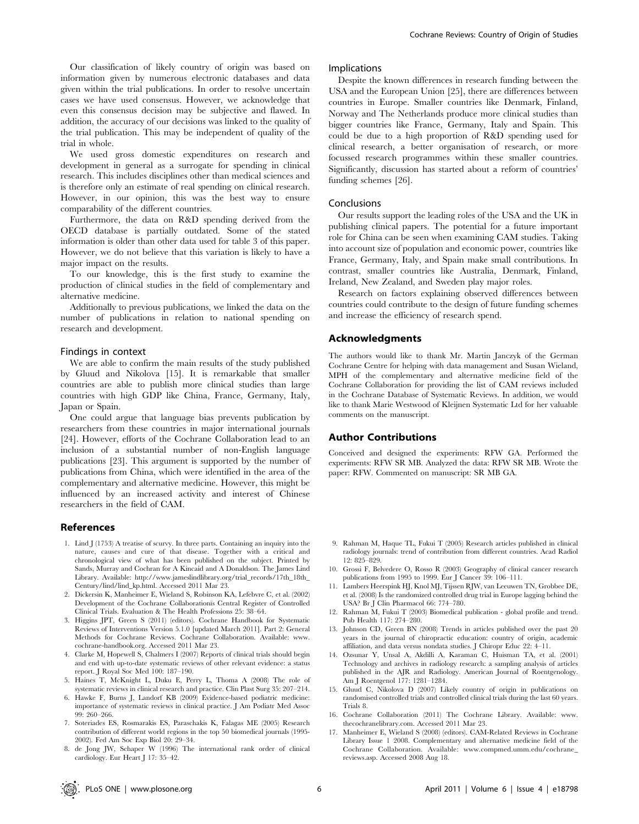Our classification of likely country of origin was based on information given by numerous electronic databases and data given within the trial publications. In order to resolve uncertain cases we have used consensus. However, we acknowledge that even this consensus decision may be subjective and flawed. In addition, the accuracy of our decisions was linked to the quality of the trial publication. This may be independent of quality of the trial in whole.

We used gross domestic expenditures on research and development in general as a surrogate for spending in clinical research. This includes disciplines other than medical sciences and is therefore only an estimate of real spending on clinical research. However, in our opinion, this was the best way to ensure comparability of the different countries.

Furthermore, the data on R&D spending derived from the OECD database is partially outdated. Some of the stated information is older than other data used for table 3 of this paper. However, we do not believe that this variation is likely to have a major impact on the results.

To our knowledge, this is the first study to examine the production of clinical studies in the field of complementary and alternative medicine.

Additionally to previous publications, we linked the data on the number of publications in relation to national spending on research and development.

#### Findings in context

We are able to confirm the main results of the study published by Gluud and Nikolova [15]. It is remarkable that smaller countries are able to publish more clinical studies than large countries with high GDP like China, France, Germany, Italy, Japan or Spain.

One could argue that language bias prevents publication by researchers from these countries in major international journals [24]. However, efforts of the Cochrane Collaboration lead to an inclusion of a substantial number of non-English language publications [23]. This argument is supported by the number of publications from China, which were identified in the area of the complementary and alternative medicine. However, this might be influenced by an increased activity and interest of Chinese researchers in the field of CAM.

## References

- 1. Lind J (1753) A treatise of scurvy. In three parts. Containing an inquiry into the nature, causes and cure of that disease. Together with a critical and chronological view of what has been published on the subject. Printed by Sands, Murray and Cochran for A Kincaid and A Donaldson. The James Lind Library. Available: http://www.jameslindlibrary.org/trial\_records/17th\_18th\_ Century/lind/lind\_kp.html. Accessed 2011 Mar 23.
- 2. Dickersin K, Manheimer E, Wieland S, Robinson KA, Lefebvre C, et al. (2002) Development of the Cochrane Collaborationis Central Register of Controlled Clinical Trials. Evaluation & The Health Professions 25: 38–64.
- 3. Higgins JPT, Green S (2011) (editors). Cochrane Handbook for Systematic Reviews of Interventions Version 5.1.0 [updated March 2011]. Part 2: General Methods for Cochrane Reviews. Cochrane Collaboration. Available: www. cochrane-handbook.org. Accessed 2011 Mar 23.
- 4. Clarke M, Hopewell S, Chalmers I (2007) Reports of clinical trials should begin and end with up-to-date systematic reviews of other relevant evidence: a status report. J Royal Soc Med 100: 187–190.
- 5. Haines T, McKnight L, Duku E, Perry L, Thoma A (2008) The role of systematic reviews in clinical research and practice. Clin Plast Surg 35: 207–214.
- 6. Hawke F, Burns J, Landorf KB (2009) Evidence-based podiatric medicine: importance of systematic reviews in clinical practice. J Am Podiatr Med Assoc 99: 260–266.
- 7. Soteriades ES, Rosmarakis ES, Paraschakis K, Falagas ME (2005) Research contribution of different world regions in the top 50 biomedical journals (1995- 2002). Fed Am Soc Exp Biol 20: 29–34.
- 8. de Jong JW, Schaper W (1996) The international rank order of clinical cardiology. Eur Heart J 17: 35–42.

#### Implications

Despite the known differences in research funding between the USA and the European Union [25], there are differences between countries in Europe. Smaller countries like Denmark, Finland, Norway and The Netherlands produce more clinical studies than bigger countries like France, Germany, Italy and Spain. This could be due to a high proportion of R&D spending used for clinical research, a better organisation of research, or more focussed research programmes within these smaller countries. Significantly, discussion has started about a reform of countries' funding schemes [26].

# Conclusions

Our results support the leading roles of the USA and the UK in publishing clinical papers. The potential for a future important role for China can be seen when examining CAM studies. Taking into account size of population and economic power, countries like France, Germany, Italy, and Spain make small contributions. In contrast, smaller countries like Australia, Denmark, Finland, Ireland, New Zealand, and Sweden play major roles.

Research on factors explaining observed differences between countries could contribute to the design of future funding schemes and increase the efficiency of research spend.

# Acknowledgments

The authors would like to thank Mr. Martin Janczyk of the German Cochrane Centre for helping with data management and Susan Wieland, MPH of the complementary and alternative medicine field of the Cochrane Collaboration for providing the list of CAM reviews included in the Cochrane Database of Systematic Reviews. In addition, we would like to thank Marie Westwood of Kleijnen Systematic Ltd for her valuable comments on the manuscript.

#### Author Contributions

Conceived and designed the experiments: RFW GA. Performed the experiments: RFW SR MB. Analyzed the data: RFW SR MB. Wrote the paper: RFW. Commented on manuscript: SR MB GA.

- 9. Rahman M, Haque TL, Fukui T (2005) Research articles published in clinical radiology journals: trend of contribution from different countries. Acad Radiol 12: 825–829.
- 10. Grossi F, Belvedere O, Rosso R (2003) Geography of clinical cancer research publications from 1995 to 1999. Eur J Cancer 39: 106–111.
- 11. Lambers Heerspink HJ, Knol MJ, Tijssen RJW, van Leeuwen TN, Grobbee DE, et al. (2008) Is the randomized controlled drug trial in Europe lagging behind the USA? Br J Clin Pharmacol 66: 774–780.
- 12. Rahman M, Fukui T (2003) Biomedical publication global profile and trend. Pub Health 117: 274–280.
- 13. Johnson CD, Green BN (2008) Trends in articles published over the past 20 years in the journal of chiropractic education: country of origin, academic affiliation, and data versus nondata studies. J Chiropr Educ 22: 4–11.
- 14. Ozsunar Y, Unsal A, Akdilli A, Karaman C, Huisman TA, et al. (2001) Technology and archives in radiology research: a sampling analysis of articles published in the AJR and Radiology. American Journal of Roentgenology. Am J Roentgenol 177: 1281–1284.
- 15. Gluud C, Nikolova D (2007) Likely country of origin in publications on randomised controlled trials and controlled clinical trials during the last 60 years. Trials 8.
- 16. Cochrane Collaboration (2011) The Cochrane Library. Available: www. thecochranelibrary.com. Accessed 2011 Mar 23.
- 17. Manheimer E, Wieland S (2008) (editors). CAM-Related Reviews in Cochrane Library Issue 1 2008. Complementary and alternative medicine field of the Cochrane Collaboration. Available: www.compmed.umm.edu/cochrane\_ reviews.asp. Accessed 2008 Aug 18.